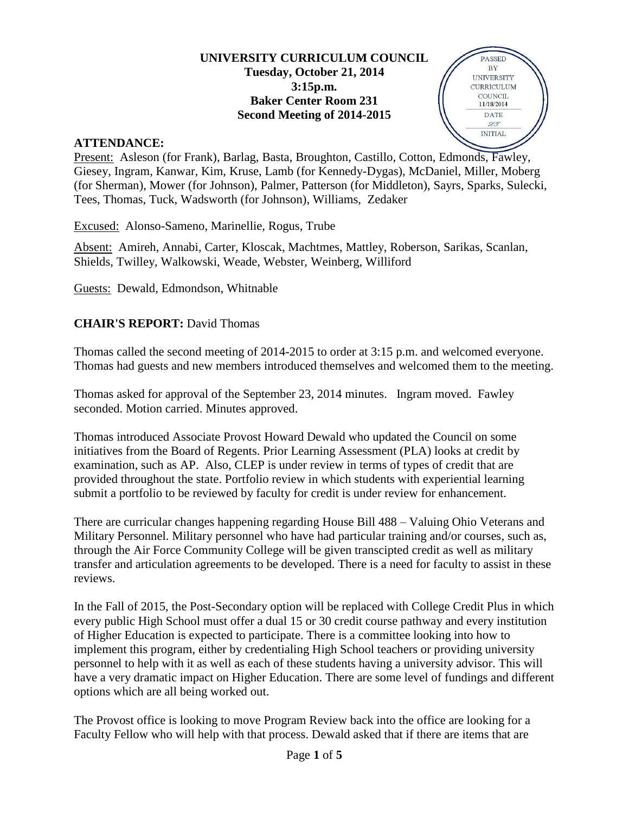### **UNIVERSITY CURRICULUM COUNCIL Tuesday, October 21, 2014 3:15p.m. Baker Center Room 231 Second Meeting of 2014-2015**

#### **ATTENDANCE:**



Present: Asleson (for Frank), Barlag, Basta, Broughton, Castillo, Cotton, Edmonds, Fawley, Giesey, Ingram, Kanwar, Kim, Kruse, Lamb (for Kennedy-Dygas), McDaniel, Miller, Moberg (for Sherman), Mower (for Johnson), Palmer, Patterson (for Middleton), Sayrs, Sparks, Sulecki, Tees, Thomas, Tuck, Wadsworth (for Johnson), Williams, Zedaker

Excused: Alonso-Sameno, Marinellie, Rogus, Trube

Absent: Amireh, Annabi, Carter, Kloscak, Machtmes, Mattley, Roberson, Sarikas, Scanlan, Shields, Twilley, Walkowski, Weade, Webster, Weinberg, Williford

Guests: Dewald, Edmondson, Whitnable

#### **CHAIR'S REPORT:** David Thomas

Thomas called the second meeting of 2014-2015 to order at 3:15 p.m. and welcomed everyone. Thomas had guests and new members introduced themselves and welcomed them to the meeting.

Thomas asked for approval of the September 23, 2014 minutes. Ingram moved. Fawley seconded. Motion carried. Minutes approved.

Thomas introduced Associate Provost Howard Dewald who updated the Council on some initiatives from the Board of Regents. Prior Learning Assessment (PLA) looks at credit by examination, such as AP. Also, CLEP is under review in terms of types of credit that are provided throughout the state. Portfolio review in which students with experiential learning submit a portfolio to be reviewed by faculty for credit is under review for enhancement.

There are curricular changes happening regarding House Bill 488 – Valuing Ohio Veterans and Military Personnel. Military personnel who have had particular training and/or courses, such as, through the Air Force Community College will be given transcipted credit as well as military transfer and articulation agreements to be developed. There is a need for faculty to assist in these reviews.

In the Fall of 2015, the Post-Secondary option will be replaced with College Credit Plus in which every public High School must offer a dual 15 or 30 credit course pathway and every institution of Higher Education is expected to participate. There is a committee looking into how to implement this program, either by credentialing High School teachers or providing university personnel to help with it as well as each of these students having a university advisor. This will have a very dramatic impact on Higher Education. There are some level of fundings and different options which are all being worked out.

The Provost office is looking to move Program Review back into the office are looking for a Faculty Fellow who will help with that process. Dewald asked that if there are items that are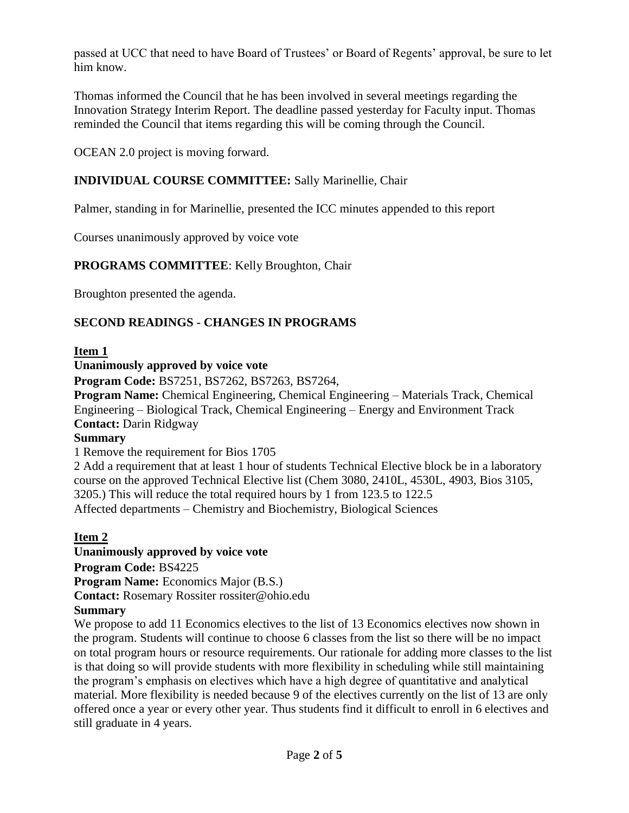passed at UCC that need to have Board of Trustees' or Board of Regents' approval, be sure to let him know.

Thomas informed the Council that he has been involved in several meetings regarding the Innovation Strategy Interim Report. The deadline passed yesterday for Faculty input. Thomas reminded the Council that items regarding this will be coming through the Council.

OCEAN 2.0 project is moving forward.

# **INDIVIDUAL COURSE COMMITTEE:** Sally Marinellie, Chair

Palmer, standing in for Marinellie, presented the ICC minutes appended to this report

Courses unanimously approved by voice vote

# **PROGRAMS COMMITTEE**: Kelly Broughton, Chair

Broughton presented the agenda.

# **SECOND READINGS - CHANGES IN PROGRAMS**

#### **Item 1**

#### **Unanimously approved by voice vote**

**Program Code:** BS7251, BS7262, BS7263, BS7264,

**Program Name:** Chemical Engineering, Chemical Engineering – Materials Track, Chemical Engineering – Biological Track, Chemical Engineering – Energy and Environment Track **Contact:** Darin Ridgway

#### **Summary**

1 Remove the requirement for Bios 1705

2 Add a requirement that at least 1 hour of students Technical Elective block be in a laboratory course on the approved Technical Elective list (Chem 3080, 2410L, 4530L, 4903, Bios 3105, 3205.) This will reduce the total required hours by 1 from 123.5 to 122.5 Affected departments – Chemistry and Biochemistry, Biological Sciences

### **Item 2**

**Unanimously approved by voice vote Program Code:** BS4225 **Program Name:** Economics Major (B.S.) **Contact:** Rosemary Rossiter rossiter@ohio.edu

### **Summary**

We propose to add 11 Economics electives to the list of 13 Economics electives now shown in the program. Students will continue to choose 6 classes from the list so there will be no impact on total program hours or resource requirements. Our rationale for adding more classes to the list is that doing so will provide students with more flexibility in scheduling while still maintaining the program's emphasis on electives which have a high degree of quantitative and analytical material. More flexibility is needed because 9 of the electives currently on the list of 13 are only offered once a year or every other year. Thus students find it difficult to enroll in 6 electives and still graduate in 4 years.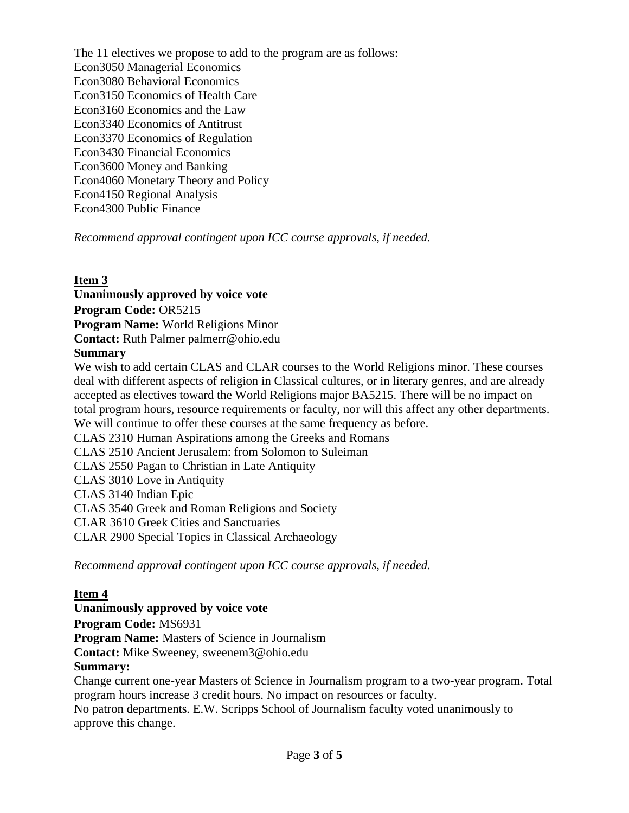The 11 electives we propose to add to the program are as follows: Econ3050 Managerial Economics Econ3080 Behavioral Economics Econ3150 Economics of Health Care Econ3160 Economics and the Law Econ3340 Economics of Antitrust Econ3370 Economics of Regulation Econ3430 Financial Economics Econ3600 Money and Banking Econ4060 Monetary Theory and Policy Econ4150 Regional Analysis Econ4300 Public Finance

*Recommend approval contingent upon ICC course approvals, if needed.*

### **Item 3**

**Unanimously approved by voice vote**

**Program Code:** OR5215 **Program Name:** World Religions Minor **Contact:** Ruth Palmer palmerr@ohio.edu

# **Summary**

We wish to add certain CLAS and CLAR courses to the World Religions minor. These courses deal with different aspects of religion in Classical cultures, or in literary genres, and are already accepted as electives toward the World Religions major BA5215. There will be no impact on total program hours, resource requirements or faculty, nor will this affect any other departments. We will continue to offer these courses at the same frequency as before. CLAS 2310 Human Aspirations among the Greeks and Romans

CLAS 2510 Ancient Jerusalem: from Solomon to Suleiman

CLAS 2550 Pagan to Christian in Late Antiquity

CLAS 3010 Love in Antiquity

CLAS 3140 Indian Epic

CLAS 3540 Greek and Roman Religions and Society

CLAR 3610 Greek Cities and Sanctuaries

CLAR 2900 Special Topics in Classical Archaeology

*Recommend approval contingent upon ICC course approvals, if needed.*

### **Item 4**

**Unanimously approved by voice vote**

**Program Code:** MS6931

**Program Name:** Masters of Science in Journalism

**Contact:** Mike Sweeney, sweenem3@ohio.edu

### **Summary:**

Change current one-year Masters of Science in Journalism program to a two-year program. Total program hours increase 3 credit hours. No impact on resources or faculty.

No patron departments. E.W. Scripps School of Journalism faculty voted unanimously to approve this change.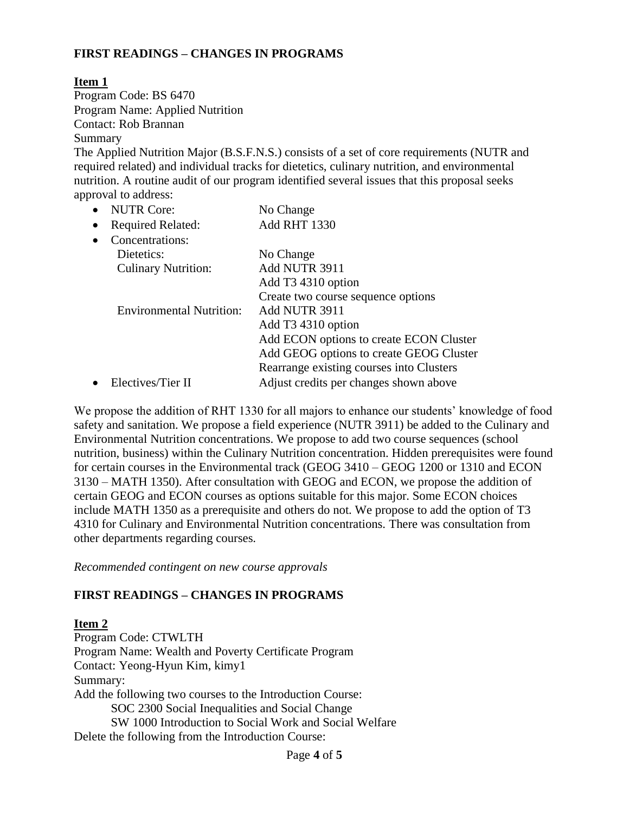### **FIRST READINGS – CHANGES IN PROGRAMS**

### **Item 1**

Program Code: BS 6470 Program Name: Applied Nutrition Contact: Rob Brannan Summary

The Applied Nutrition Major (B.S.F.N.S.) consists of a set of core requirements (NUTR and required related) and individual tracks for dietetics, culinary nutrition, and environmental nutrition. A routine audit of our program identified several issues that this proposal seeks approval to address:

|           | <b>NUTR Core:</b>               | No Change                                |
|-----------|---------------------------------|------------------------------------------|
| $\bullet$ | <b>Required Related:</b>        | <b>Add RHT 1330</b>                      |
|           | Concentrations:                 |                                          |
|           | Dietetics:                      | No Change                                |
|           | <b>Culinary Nutrition:</b>      | Add NUTR 3911                            |
|           |                                 | Add T3 4310 option                       |
|           |                                 | Create two course sequence options       |
|           | <b>Environmental Nutrition:</b> | Add NUTR 3911                            |
|           |                                 | Add T3 4310 option                       |
|           |                                 | Add ECON options to create ECON Cluster  |
|           |                                 | Add GEOG options to create GEOG Cluster  |
|           |                                 | Rearrange existing courses into Clusters |
|           | Electives/Tier II               | Adjust credits per changes shown above   |

We propose the addition of RHT 1330 for all majors to enhance our students' knowledge of food safety and sanitation. We propose a field experience (NUTR 3911) be added to the Culinary and Environmental Nutrition concentrations. We propose to add two course sequences (school nutrition, business) within the Culinary Nutrition concentration. Hidden prerequisites were found for certain courses in the Environmental track (GEOG 3410 – GEOG 1200 or 1310 and ECON 3130 – MATH 1350). After consultation with GEOG and ECON, we propose the addition of certain GEOG and ECON courses as options suitable for this major. Some ECON choices include MATH 1350 as a prerequisite and others do not. We propose to add the option of T3 4310 for Culinary and Environmental Nutrition concentrations. There was consultation from other departments regarding courses.

*Recommended contingent on new course approvals*

### **FIRST READINGS – CHANGES IN PROGRAMS**

### **Item 2**

Program Code: CTWLTH Program Name: Wealth and Poverty Certificate Program Contact: Yeong-Hyun Kim, kimy1 Summary: Add the following two courses to the Introduction Course: SOC 2300 Social Inequalities and Social Change SW 1000 Introduction to Social Work and Social Welfare Delete the following from the Introduction Course: